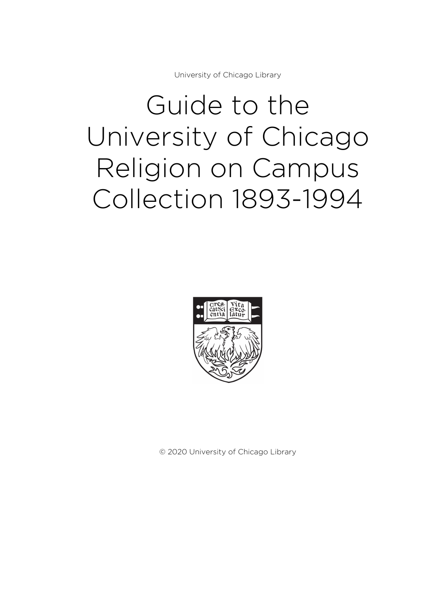University of Chicago Library

# Guide to the University of Chicago Religion on Campus Collection 1893-1994



© 2020 University of Chicago Library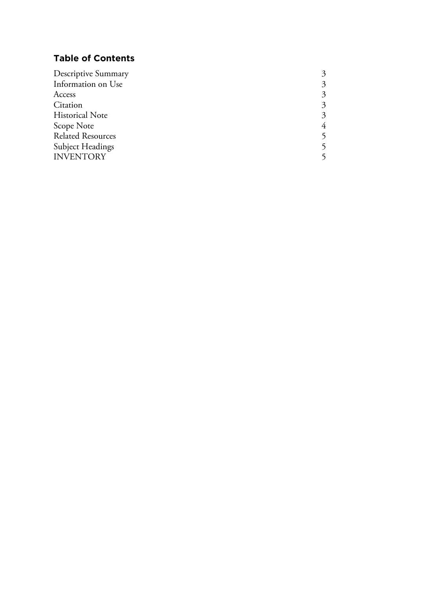## **Table of Contents**

| Descriptive Summary      |                             |
|--------------------------|-----------------------------|
| Information on Use       | 3                           |
| Access                   | 3                           |
| Citation                 | $\mathcal{Z}_{\mathcal{A}}$ |
| <b>Historical Note</b>   | $\mathcal{Z}_{\mathcal{A}}$ |
| Scope Note               | 4                           |
| <b>Related Resources</b> |                             |
| <b>Subject Headings</b>  |                             |
| <b>INVENTORY</b>         |                             |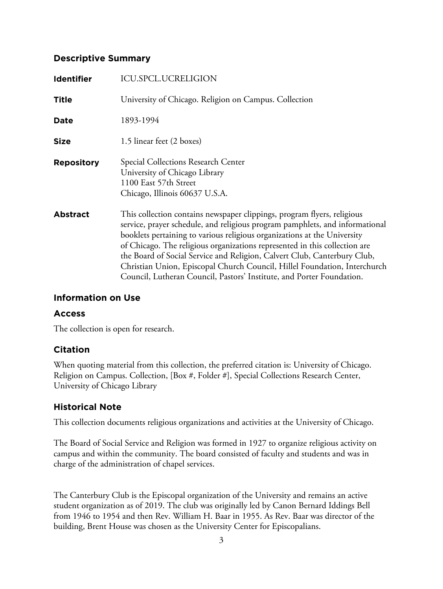#### **Descriptive Summary**

| <b>Identifier</b> | <b>ICU.SPCL.UCRELIGION</b>                                                                                                                                                                                                                                                                                                                                                                                                                                                                                                                          |
|-------------------|-----------------------------------------------------------------------------------------------------------------------------------------------------------------------------------------------------------------------------------------------------------------------------------------------------------------------------------------------------------------------------------------------------------------------------------------------------------------------------------------------------------------------------------------------------|
| <b>Title</b>      | University of Chicago. Religion on Campus. Collection                                                                                                                                                                                                                                                                                                                                                                                                                                                                                               |
| <b>Date</b>       | 1893-1994                                                                                                                                                                                                                                                                                                                                                                                                                                                                                                                                           |
| <b>Size</b>       | 1.5 linear feet (2 boxes)                                                                                                                                                                                                                                                                                                                                                                                                                                                                                                                           |
| <b>Repository</b> | Special Collections Research Center<br>University of Chicago Library<br>1100 East 57th Street<br>Chicago, Illinois 60637 U.S.A.                                                                                                                                                                                                                                                                                                                                                                                                                     |
| <b>Abstract</b>   | This collection contains newspaper clippings, program flyers, religious<br>service, prayer schedule, and religious program pamphlets, and informational<br>booklets pertaining to various religious organizations at the University<br>of Chicago. The religious organizations represented in this collection are<br>the Board of Social Service and Religion, Calvert Club, Canterbury Club,<br>Christian Union, Episcopal Church Council, Hillel Foundation, Interchurch<br>Council, Lutheran Council, Pastors' Institute, and Porter Foundation. |

#### **Information on Use**

#### **Access**

The collection is open for research.

#### **Citation**

When quoting material from this collection, the preferred citation is: University of Chicago. Religion on Campus. Collection, [Box #, Folder #], Special Collections Research Center, University of Chicago Library

#### **Historical Note**

This collection documents religious organizations and activities at the University of Chicago.

The Board of Social Service and Religion was formed in 1927 to organize religious activity on campus and within the community. The board consisted of faculty and students and was in charge of the administration of chapel services.

The Canterbury Club is the Episcopal organization of the University and remains an active student organization as of 2019. The club was originally led by Canon Bernard Iddings Bell from 1946 to 1954 and then Rev. William H. Baar in 1955. As Rev. Baar was director of the building, Brent House was chosen as the University Center for Episcopalians.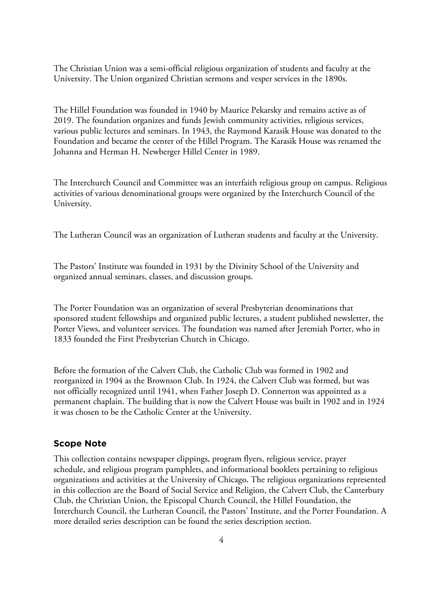The Christian Union was a semi-official religious organization of students and faculty at the University. The Union organized Christian sermons and vesper services in the 1890s.

The Hillel Foundation was founded in 1940 by Maurice Pekarsky and remains active as of 2019. The foundation organizes and funds Jewish community activities, religious services, various public lectures and seminars. In 1943, the Raymond Karasik House was donated to the Foundation and became the center of the Hillel Program. The Karasik House was renamed the Johanna and Herman H. Newberger Hillel Center in 1989.

The Interchurch Council and Committee was an interfaith religious group on campus. Religious activities of various denominational groups were organized by the Interchurch Council of the University.

The Lutheran Council was an organization of Lutheran students and faculty at the University.

The Pastors' Institute was founded in 1931 by the Divinity School of the University and organized annual seminars, classes, and discussion groups.

The Porter Foundation was an organization of several Presbyterian denominations that sponsored student fellowships and organized public lectures, a student published newsletter, the Porter Views, and volunteer services. The foundation was named after Jeremiah Porter, who in 1833 founded the First Presbyterian Church in Chicago.

Before the formation of the Calvert Club, the Catholic Club was formed in 1902 and reorganized in 1904 as the Brownson Club. In 1924, the Calvert Club was formed, but was not officially recognized until 1941, when Father Joseph D. Connerton was appointed as a permanent chaplain. The building that is now the Calvert House was built in 1902 and in 1924 it was chosen to be the Catholic Center at the University.

#### **Scope Note**

This collection contains newspaper clippings, program flyers, religious service, prayer schedule, and religious program pamphlets, and informational booklets pertaining to religious organizations and activities at the University of Chicago. The religious organizations represented in this collection are the Board of Social Service and Religion, the Calvert Club, the Canterbury Club, the Christian Union, the Episcopal Church Council, the Hillel Foundation, the Interchurch Council, the Lutheran Council, the Pastors' Institute, and the Porter Foundation. A more detailed series description can be found the series description section.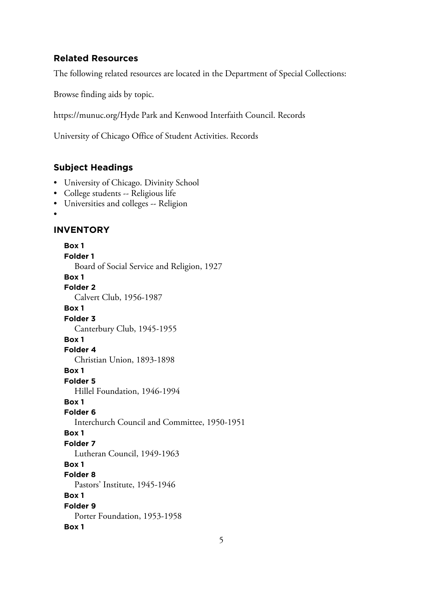#### **Related Resources**

The following related resources are located in the Department of Special Collections:

Browse finding aids by topic.

https://munuc.org/Hyde Park and Kenwood Interfaith Council. Records

University of Chicago Office of Student Activities. Records

#### **Subject Headings**

- University of Chicago. Divinity School
- College students -- Religious life
- Universities and colleges -- Religion
- •

### **INVENTORY**

**Box 1 Folder 1** Board of Social Service and Religion, 1927 **Box 1 Folder 2** Calvert Club, 1956-1987 **Box 1 Folder 3** Canterbury Club, 1945-1955 **Box 1 Folder 4** Christian Union, 1893-1898 **Box 1 Folder 5** Hillel Foundation, 1946-1994 **Box 1 Folder 6** Interchurch Council and Committee, 1950-1951 **Box 1 Folder 7** Lutheran Council, 1949-1963 **Box 1 Folder 8** Pastors' Institute, 1945-1946 **Box 1 Folder 9** Porter Foundation, 1953-1958 **Box 1**